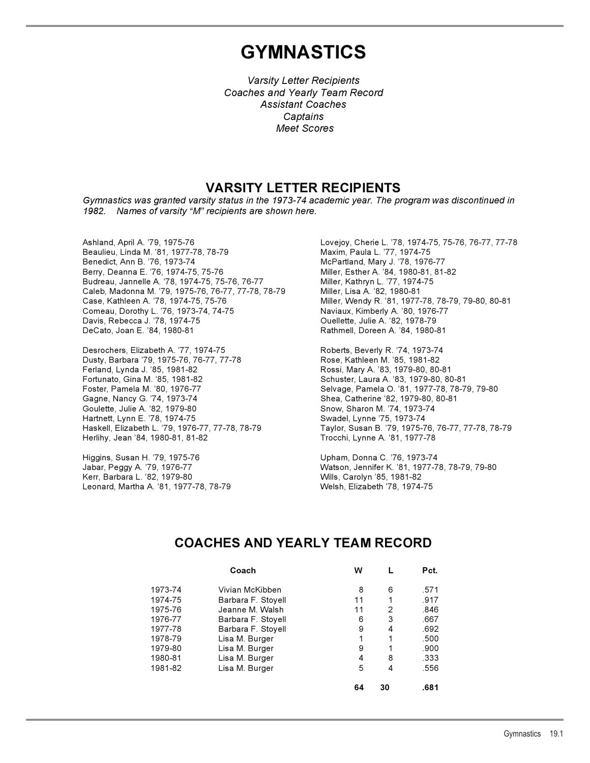# **GYMNASTICS**

*Varsity Letter Recipients Coaches and Yearly Team Record Assistant Coaches Captains Meet Scores*

### **VARSITY LETTER RECIPIENTS**

*Gymnastics was granted varsity status in the 1973-74 academic year. The program was discontinued in 1982. Names of varsity "M" recipients are shown here.*

Beaulieu, Linda M. '81, 1977-78, 78-79 Benedict, Ann B. '76, 1973-74 McPartland, Mary J. '78, 1976-77 Berry, Deanna E. '76, 1974-75, 75-76 Miller, Esther A. '84, 1980-81, 81-82 Budreau, Jannelle A. '78, 1974-75, 75-76, 76-77 Miller, Kathryn L. '77, 1974-75 Caleb, Madonna M. '79, 1975-76, 76-77, 77-78, 78-79 Miller, Lisa A. '82, 1980-81 Case, Kathleen A. '78, 1974-75, 75-76 Miller, Wendy R. '81, 1977-78, 78-79, 79-80, 80-81 Comeau, Dorothy L. '76, 1973-74, 74-75 Naviaux, Kimberly A. '80, 1976-77 Davis, Rebecca J. '78, 1974-75 Ouellette, Julie A. '82, 1978-79 DeCato, Joan E. '84, 1980-81 Rathmell, Doreen A. '84, 1980-81

Desrochers, Elizabeth A. '77, 1974-75 Roberts, Beverly R. '74, 1973-74 Dusty, Barbara '79, 1975-76, 76-77, 77-78 Rose, Kathleen M. '85, 1981-82 Ferland, Lynda J. '85, 1981-82 Rossi, Mary A. '83, 1979-80, 80-81 Fortunato, Gina M. '85, 1981-82 Schuster, Laura A. '83, 1979-80, 80-81 Foster, Pamela M. '80, 1976-77 Selvage, Pamela O. '81, 1977-78, 78-79, 79-80 Gagne, Nancy G. '74, 1973-74 Shea, Catherine '82, 1979-80, 80-81 Goulette, Julie A. '82, 1979-80 Snow, Sharon M. '74, 1973-74 Hartnett, Lynn E. '78, 1974-75 Swadel, Lynne '75, 1973-74 Herlihy, Jean '84, 1980-81, 81-82 Trocchi, Lynne A. '81, 1977-78

Higgins, Susan H. '79, 1975-76 Upham, Donna C. '76, 1973-74 Kerr, Barbara L. '82, 1979-80 Wills, Carolyn '85, 1981-82 Leonard, Martha A. '81, 1977-78, 78-79 Welsh, Elizabeth '78, 1974-75

Ashland, April A. '79, 1975-76<br>Beaulieu, Linda M. '81, 1977-78, 78-79 Maxim, Paula L. '77, 1974-75

Haskell, Elizabeth L. '79, 1976-77, 77-78, 78-79 Taylor, Susan B. '79, 1975-76, 76-77, 77-78, 78-79

Jabar, Peggy A. '79, 1976-77 Watson, Jennifer K. '81, 1977-78, 78-79, 79-80

### **COACHES AND YEARLY TEAM RECORD**

|         | Coach              | w  |    | Pct. |  |
|---------|--------------------|----|----|------|--|
| 1973-74 | Vivian McKibben    | 8  | 6  | .571 |  |
| 1974-75 | Barbara F. Stoyell | 11 |    | .917 |  |
| 1975-76 | Jeanne M. Walsh    | 11 | 2  | .846 |  |
| 1976-77 | Barbara F. Stoyell | 6  | 3  | .667 |  |
| 1977-78 | Barbara F. Stoyell | 9  | 4  | .692 |  |
| 1978-79 | Lisa M. Burger     | 1  | 1  | .500 |  |
| 1979-80 | Lisa M. Burger     | 9  | 1  | .900 |  |
| 1980-81 | Lisa M. Burger     | 4  | 8  | .333 |  |
| 1981-82 | Lisa M. Burger     | 5  | 4  | .556 |  |
|         |                    | 64 | 30 | .681 |  |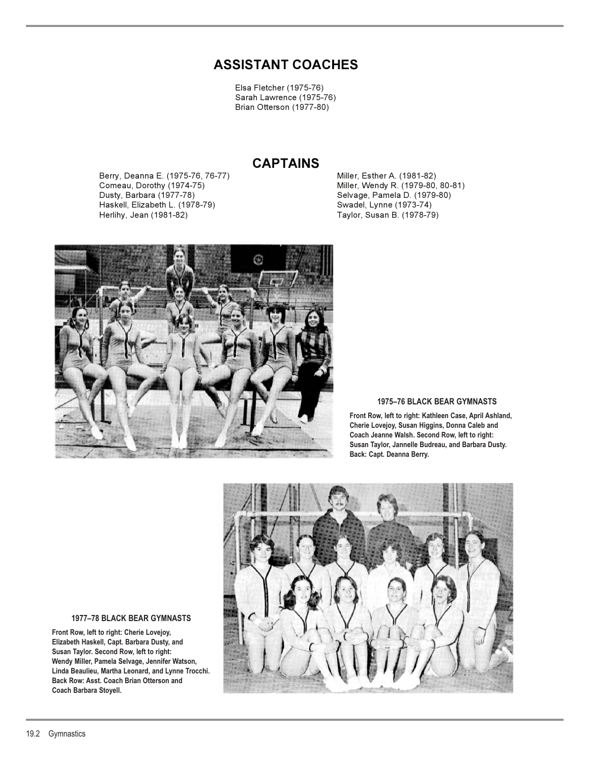## **ASSISTANT COACHES**

Elsa Fletcher (1975-76) Sarah Lawrence (1975-76) Brian Otterson (1977-80)

### **CAPTAINS**

Berry, Deanna E. (1975-76, 76-77) Miller, Esther A. (1981-82) Comeau, Dorothy (1974-75) Miller, Wendy R. (1979-80, 80-81) Haskell, Elizabeth L. (1978-79) Swadel, Lynne (1973-74)

Selvage, Pamela D. (1979-80) Taylor, Susan B. (1978-79)



#### **1975–76 BLACK BEAR GYMNASTS**

**Front Row, left to right: Kathleen Case, April Ashland, Cherie Lovejoy, Susan Higgins, Donna Caleb and Coach Jeanne Walsh. Second Row, left to right: Susan Taylor, Jannelle Budreau, and Barbara Dusty. Back: Capt. Deanna Berry.**



#### **1977–78 BLACK BEAR GYMNASTS**

**Front Row, left to right: Cherie Lovejoy, Elizabeth Haskell, Capt. Barbara Dusty, and Susan Taylor. Second Row, left to right: Wendy Miller, Pamela Selvage, Jennifer Watson, Linda Beaulieu, Martha Leonard, and Lynne Trocchi. Back Row: Asst. Coach Brian Otterson and Coach Barbara Stoyell.**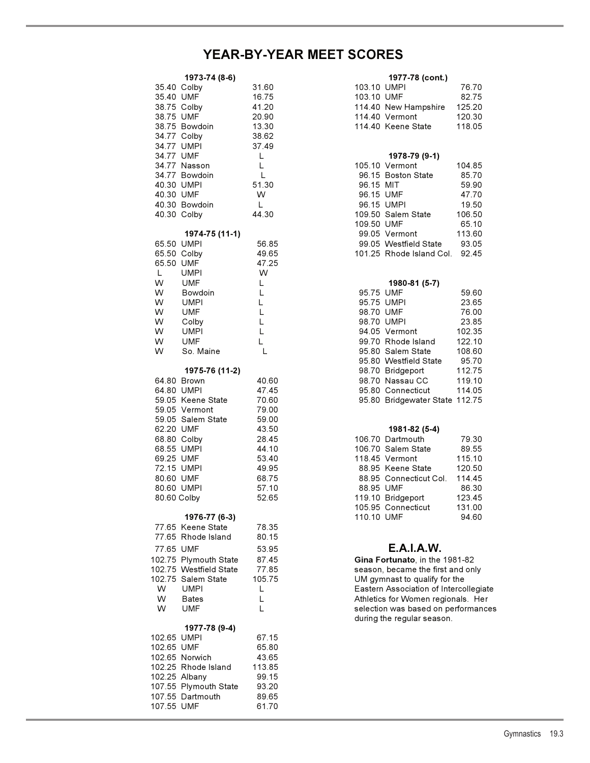## **YEAR-BY-YEAR MEET SCORES**

|             | 1973-74 (8-6)          |        |             | 1977-78 (cont.)                                                       |        |
|-------------|------------------------|--------|-------------|-----------------------------------------------------------------------|--------|
|             | 35.40 Colby            | 31.60  | 103.10 UMPI |                                                                       | 76.70  |
| 35.40 UMF   |                        | 16.75  | 103.10 UMF  |                                                                       | 82.75  |
|             | 38.75 Colby            | 41.20  |             | 114.40 New Hampshire                                                  | 125.20 |
| 38.75 UMF   |                        | 20.90  |             | 114.40 Vermont                                                        | 120.30 |
|             | 38.75 Bowdoin          | 13.30  |             | 114.40 Keene State                                                    | 118.05 |
|             | 34.77 Colby            | 38.62  |             |                                                                       |        |
| 34.77 UMPI  |                        | 37.49  |             |                                                                       |        |
| 34.77 UMF   |                        | L      |             | 1978-79 (9-1)                                                         |        |
|             | 34.77 Nasson           | L      |             | 105.10 Vermont                                                        | 104.85 |
|             | 34.77 Bowdoin          | L      |             | 96.15 Boston State                                                    | 85.70  |
| 40.30 UMPI  |                        | 51.30  | 96.15 MIT   |                                                                       | 59.90  |
| 40.30 UMF   |                        | W      | 96.15 UMF   |                                                                       | 47.70  |
|             | 40.30 Bowdoin          | L      |             | 96.15 UMPI                                                            | 19.50  |
| 40.30 Colby |                        | 44.30  |             | 109.50 Salem State                                                    | 106.50 |
|             |                        |        | 109.50 UMF  |                                                                       | 65.10  |
|             | 1974-75 (11-1)         |        |             | 99.05 Vermont                                                         | 113.60 |
| 65.50 UMPI  |                        | 56.85  |             | 99.05 Westfield State                                                 | 93.05  |
| 65.50 Colby |                        | 49.65  |             | 101.25 Rhode Island Col.                                              | 92.45  |
| 65.50 UMF   |                        | 47.25  |             |                                                                       |        |
| L.          | <b>UMPI</b>            | W      |             |                                                                       |        |
| W           | <b>UMF</b>             | L      |             | 1980-81 (5-7)                                                         |        |
| W           | <b>Bowdoin</b>         | L      | 95.75 UMF   |                                                                       | 59.60  |
| W           | <b>UMPI</b>            | L.     |             | 95.75 UMPI                                                            | 23.65  |
| W           | <b>UMF</b>             | L      | 98.70 UMF   |                                                                       | 76.00  |
| W           | Colby                  | L      | 98.70 UMPI  |                                                                       | 23.85  |
| W           | <b>UMPI</b>            | L      |             | 94.05 Vermont                                                         | 102.35 |
| W           | <b>UMF</b>             | L.     |             | 99.70 Rhode Island                                                    | 122.10 |
| W           | So. Maine              | L      |             | 95.80 Salem State                                                     | 108.60 |
|             |                        |        |             | 95.80 Westfield State                                                 | 95.70  |
|             | 1975-76 (11-2)         |        |             | 98.70 Bridgeport                                                      | 112.75 |
|             | 64.80 Brown            | 40.60  |             | 98.70 Nassau CC                                                       | 119.10 |
| 64.80 UMPI  |                        | 47.45  |             | 95.80 Connecticut                                                     | 114.05 |
|             | 59.05 Keene State      | 70.60  |             | 95.80 Bridgewater State 112.75                                        |        |
|             | 59.05 Vermont          | 79.00  |             |                                                                       |        |
|             | 59.05 Salem State      | 59.00  |             |                                                                       |        |
| 62.20 UMF   |                        | 43.50  |             | 1981-82 (5-4)                                                         |        |
|             | 68.80 Colby            | 28.45  |             | 106.70 Dartmouth                                                      | 79.30  |
| 68.55 UMPI  |                        | 44.10  |             | 106.70 Salem State                                                    | 89.55  |
| 69.25 UMF   |                        | 53.40  |             | 118.45 Vermont                                                        | 115.10 |
| 72.15 UMPI  |                        | 49.95  |             | 88.95 Keene State                                                     | 120.50 |
| 80.60 UMF   |                        | 68.75  |             | 88.95 Connecticut Col.                                                | 114.45 |
| 80.60 UMPI  |                        | 57.10  | 88.95 UMF   |                                                                       | 86.30  |
| 80.60 Colby |                        | 52.65  |             | 119.10 Bridgeport                                                     | 123.45 |
|             |                        |        |             | 105.95 Connecticut                                                    | 131.00 |
|             | 1976-77 (6-3)          |        | 110.10 UMF  |                                                                       | 94.60  |
|             | 77.65 Keene State      | 78.35  |             |                                                                       |        |
|             | 77.65 Rhode Island     | 80.15  |             |                                                                       |        |
| 77.65 UMF   |                        | 53.95  |             | <b>E.A.I.A.W.</b>                                                     |        |
|             | 102.75 Plymouth State  | 87.45  |             | Gina Fortunato, in the 1981-82                                        |        |
|             | 102.75 Westfield State | 77.85  |             | season, became the first and only                                     |        |
|             | 102.75 Salem State     |        |             |                                                                       |        |
| W           | <b>UMPI</b>            | 105.75 |             | UM gymnast to qualify for the<br>Eastern Association of Intercollegia |        |
| W           | <b>Bates</b>           | L<br>L |             | Athletics for Women regionals. He                                     |        |
| W           |                        | L      |             |                                                                       |        |
|             | UMF                    |        |             | selection was based on performan                                      |        |
|             |                        |        |             | during the regular season.                                            |        |
|             | 1977-78 (9-4)          |        |             |                                                                       |        |
| 102.65 UMPI |                        | 67.15  |             |                                                                       |        |
| 102.65 UMF  | 102.65 Norwich         | 65.80  |             |                                                                       |        |
|             | 102.25 Rhode Island    | 43.65  |             |                                                                       |        |
|             |                        | 113.85 |             |                                                                       |        |
|             | 102.25 Albany          | 99.15  |             |                                                                       |        |
|             | 107.55 Plymouth State  | 93.20  |             |                                                                       |        |
|             | 107.55 Dartmouth       | 89.65  |             |                                                                       |        |
| 107.55 UMF  |                        | 61.70  |             |                                                                       |        |

| 1973-74 (8-6) |               |       | 1977-78 (cont.) |                      |        |
|---------------|---------------|-------|-----------------|----------------------|--------|
| 35.40 Colby   |               | 31.60 | 103.10 UMPI     |                      | 76.70  |
| 35.40 UMF     |               | 16.75 | 103.10 UMF      |                      | 8275   |
| 38.75 Colby   |               | 41 20 |                 | 114.40 New Hampshire | 125 20 |
| 38.75 UMF     |               | 20.90 |                 | 114.40 Vermont       | 120.30 |
|               | 38.75 Bowdoin | 13 30 |                 | 114.40 Keene State   | 118.05 |

#### 34.77 UMF L **1978-79 (9-1)**

|                |             | 34.77 Nasson  |       |               | 105.10 Vermont           | 104.85 |
|----------------|-------------|---------------|-------|---------------|--------------------------|--------|
|                |             | 34.77 Bowdoin |       |               | 96.15 Boston State       | 85.70  |
|                | 40.30 UMPI  |               | 51.30 | 96.15 MIT     |                          | 59.90  |
|                | 40.30 UMF   |               | W     | 96.15 UMF     |                          | 47.70  |
|                |             | 40.30 Bowdoin |       |               | 96.15 UMPI               | 19.50  |
|                | 40.30 Colby |               | 44.30 |               | 109.50 Salem State       | 106.50 |
|                |             |               |       | 109.50 UMF    |                          | 65.10  |
| 1974-75 (11-1) |             |               |       | 99.05 Vermont | 113.60                   |        |
|                | 65.50 UMPI  |               | 56.85 |               | 99.05 Westfield State    | 93.05  |
|                | 65.50 Colby |               | 49.65 |               | 101.25 Rhode Island Col. | 92.45  |

### W UMF L **1980-81 (5-7)**

|                | w          | Bowdoin           |       | 95.75 UMF        |                                | 59.60  |
|----------------|------------|-------------------|-------|------------------|--------------------------------|--------|
|                | W          | <b>UMPI</b>       |       | 95.75 UMPI       |                                | 23.65  |
|                | W          | <b>UMF</b>        |       | 98.70 UMF        |                                | 76.00  |
|                | W          | Colby             |       |                  | 98.70 UMPI                     | 23.85  |
|                | W          | <b>UMPI</b>       |       |                  | 94.05 Vermont                  | 102.35 |
|                | W          | <b>UMF</b>        |       |                  | 99.70 Rhode Island             | 122.10 |
|                | W          | So. Maine         |       |                  | 95.80 Salem State              | 108.60 |
|                |            |                   |       |                  | 95.80 Westfield State          | 95.70  |
| 1975-76 (11-2) |            |                   |       | 98.70 Bridgeport | 112.75                         |        |
|                |            | 64.80 Brown       | 40.60 |                  | 98.70 Nassau CC                | 119.10 |
|                | 64.80 UMPI |                   | 47.45 |                  | 95.80 Connecticut              | 114.05 |
|                |            | 59.05 Keene State | 70.60 |                  | 95.80 Bridgewater State 112.75 |        |

### 62.20 UMF 43.50 **1981-82 (5-4)**

| 68.80 Colby |               | 28.45 |            | 106.70 Dartmouth       | 79.30  |
|-------------|---------------|-------|------------|------------------------|--------|
| 68.55 UMPI  |               | 44.10 |            | 106.70 Salem State     | 89.55  |
| 69.25 UMF   |               | 53.40 |            | 118.45 Vermont         | 115.10 |
| 72.15 UMPI  |               | 49.95 |            | 88.95 Keene State      | 120.50 |
| 80.60 UMF   |               | 68.75 |            | 88.95 Connecticut Col. | 114.45 |
| 80.60 UMPI  |               | 57.10 | 88.95 UMF  |                        | 86.30  |
| 80.60 Colby |               | 52.65 |            | 119.10 Bridgeport      | 123.45 |
|             |               |       |            | 105.95 Connecticut     | 131.00 |
|             | 1976-77 (6-3) |       | 110.10 UMF |                        | 94.60  |

### 77.65 UMF 53.95 **E.A.I.A.W.**

Gina Fortunato, in the 1981-82 season, became the first and only UM gymnast to qualify for the Eastern Association of Intercollegiate Athletics for Women regionals. Her selection was based on performances during the regular season.